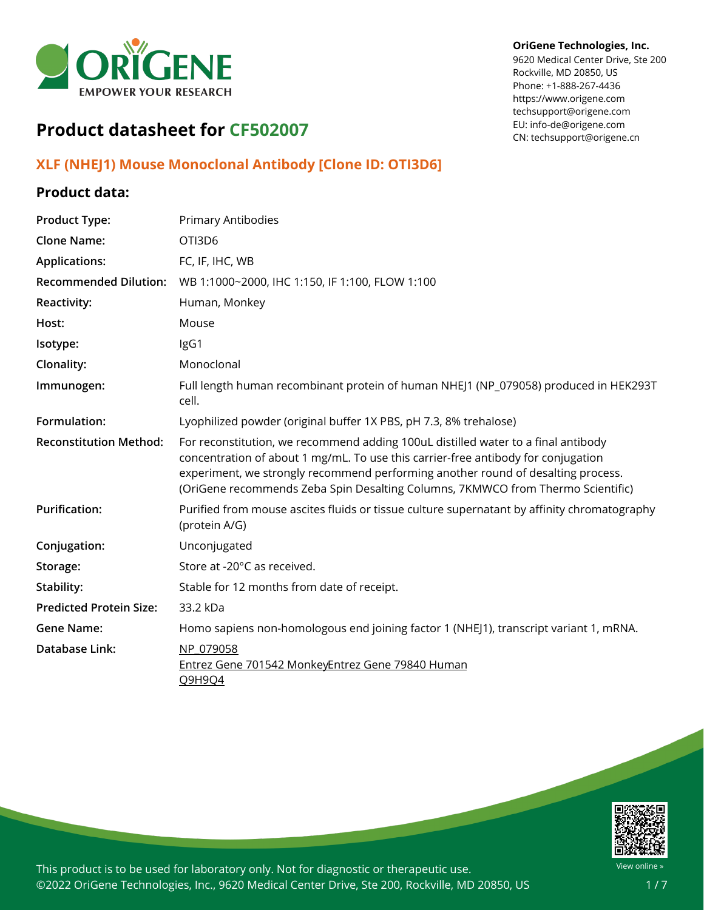

### **OriGene Technologies, Inc.**

9620 Medical Center Drive, Ste 200 Rockville, MD 20850, US Phone: +1-888-267-4436 https://www.origene.com techsupport@origene.com EU: info-de@origene.com CN: techsupport@origene.cn

# **Product datasheet for CF502007**

### **XLF (NHEJ1) Mouse Monoclonal Antibody [Clone ID: OTI3D6]**

### **Product data:**

| <b>Product Type:</b>           | Primary Antibodies                                                                                                                                                                                                                                                                                                                            |
|--------------------------------|-----------------------------------------------------------------------------------------------------------------------------------------------------------------------------------------------------------------------------------------------------------------------------------------------------------------------------------------------|
| <b>Clone Name:</b>             | OTI3D6                                                                                                                                                                                                                                                                                                                                        |
| <b>Applications:</b>           | FC, IF, IHC, WB                                                                                                                                                                                                                                                                                                                               |
| <b>Recommended Dilution:</b>   | WB 1:1000~2000, IHC 1:150, IF 1:100, FLOW 1:100                                                                                                                                                                                                                                                                                               |
| <b>Reactivity:</b>             | Human, Monkey                                                                                                                                                                                                                                                                                                                                 |
| Host:                          | Mouse                                                                                                                                                                                                                                                                                                                                         |
| Isotype:                       | IgG1                                                                                                                                                                                                                                                                                                                                          |
| Clonality:                     | Monoclonal                                                                                                                                                                                                                                                                                                                                    |
| Immunogen:                     | Full length human recombinant protein of human NHEJ1 (NP_079058) produced in HEK293T<br>cell.                                                                                                                                                                                                                                                 |
| Formulation:                   | Lyophilized powder (original buffer 1X PBS, pH 7.3, 8% trehalose)                                                                                                                                                                                                                                                                             |
| <b>Reconstitution Method:</b>  | For reconstitution, we recommend adding 100uL distilled water to a final antibody<br>concentration of about 1 mg/mL. To use this carrier-free antibody for conjugation<br>experiment, we strongly recommend performing another round of desalting process.<br>(OriGene recommends Zeba Spin Desalting Columns, 7KMWCO from Thermo Scientific) |
| <b>Purification:</b>           | Purified from mouse ascites fluids or tissue culture supernatant by affinity chromatography<br>(protein A/G)                                                                                                                                                                                                                                  |
| Conjugation:                   | Unconjugated                                                                                                                                                                                                                                                                                                                                  |
| Storage:                       | Store at -20°C as received.                                                                                                                                                                                                                                                                                                                   |
| Stability:                     | Stable for 12 months from date of receipt.                                                                                                                                                                                                                                                                                                    |
| <b>Predicted Protein Size:</b> | 33.2 kDa                                                                                                                                                                                                                                                                                                                                      |
| <b>Gene Name:</b>              | Homo sapiens non-homologous end joining factor 1 (NHEJ1), transcript variant 1, mRNA.                                                                                                                                                                                                                                                         |
| <b>Database Link:</b>          | NP 079058<br>Entrez Gene 701542 MonkeyEntrez Gene 79840 Human<br>Q9H9Q4                                                                                                                                                                                                                                                                       |

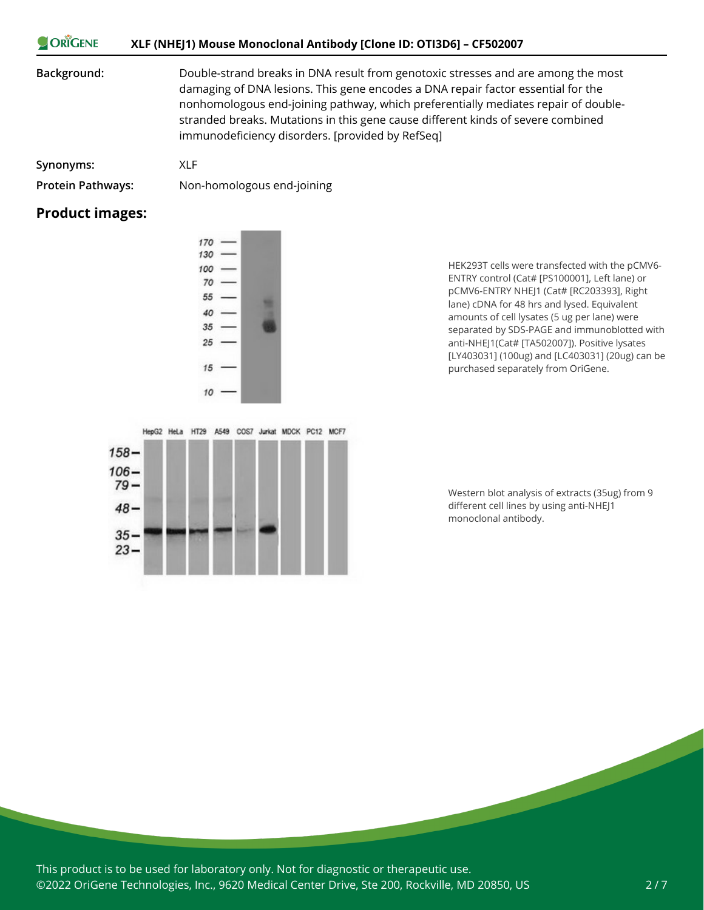### ORIGENE **XLF (NHEJ1) Mouse Monoclonal Antibody [Clone ID: OTI3D6] – CF502007**

**Background:** Double-strand breaks in DNA result from genotoxic stresses and are among the most damaging of DNA lesions. This gene encodes a DNA repair factor essential for the nonhomologous end-joining pathway, which preferentially mediates repair of doublestranded breaks. Mutations in this gene cause different kinds of severe combined immunodeficiency disorders. [provided by RefSeq]

**Synonyms:** XLF

**Protein Pathways:** Non-homologous end-joining

### **Product images:**



HEK293T cells were transfected with the pCMV6- ENTRY control (Cat# [PS100001], Left lane) or pCMV6-ENTRY NHEJ1 (Cat# [RC203393], Right lane) cDNA for 48 hrs and lysed. Equivalent amounts of cell lysates (5 ug per lane) were separated by SDS-PAGE and immunoblotted with anti-NHEJ1(Cat# [TA502007]). Positive lysates [LY403031] (100ug) and [LC403031] (20ug) can be purchased separately from OriGene.



Western blot analysis of extracts (35ug) from 9 different cell lines by using anti-NHEJ1 monoclonal antibody.

This product is to be used for laboratory only. Not for diagnostic or therapeutic use. ©2022 OriGene Technologies, Inc., 9620 Medical Center Drive, Ste 200, Rockville, MD 20850, US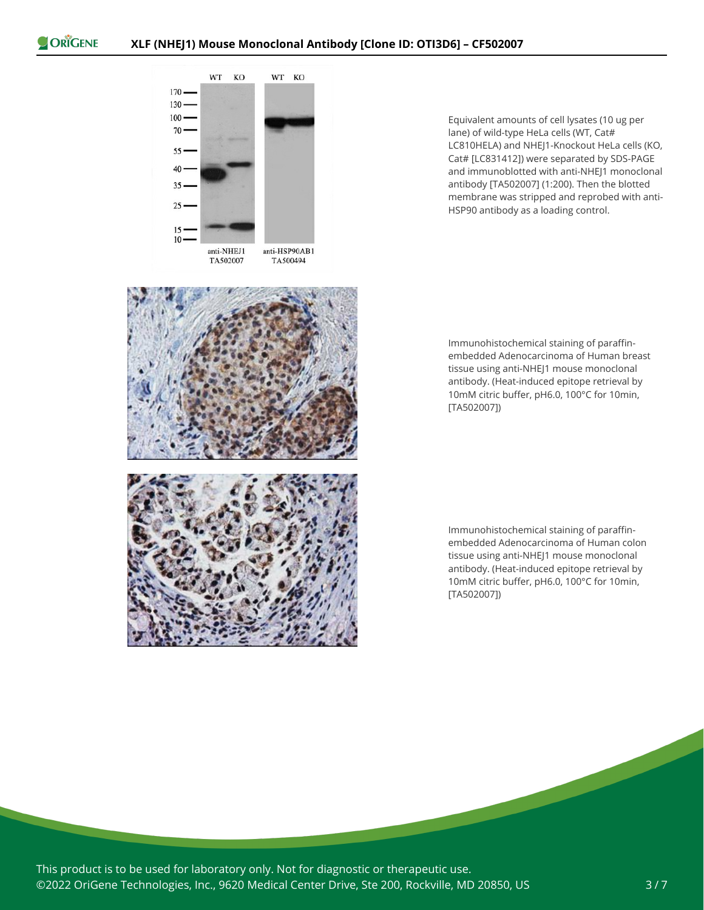



Equivalent amounts of cell lysates (10 ug per lane) of wild-type HeLa cells (WT, Cat# LC810HELA) and NHEJ1-Knockout HeLa cells (KO, Cat# [LC831412]) were separated by SDS-PAGE and immunoblotted with anti-NHEJ1 monoclonal antibody [TA502007] (1:200). Then the blotted membrane was stripped and reprobed with anti-HSP90 antibody as a loading control.



Immunohistochemical staining of paraffinembedded Adenocarcinoma of Human breast tissue using anti-NHEJ1 mouse monoclonal antibody. (Heat-induced epitope retrieval by 10mM citric buffer, pH6.0, 100°C for 10min, [TA502007])

Immunohistochemical staining of paraffinembedded Adenocarcinoma of Human colon tissue using anti-NHEJ1 mouse monoclonal antibody. (Heat-induced epitope retrieval by 10mM citric buffer, pH6.0, 100°C for 10min, [TA502007])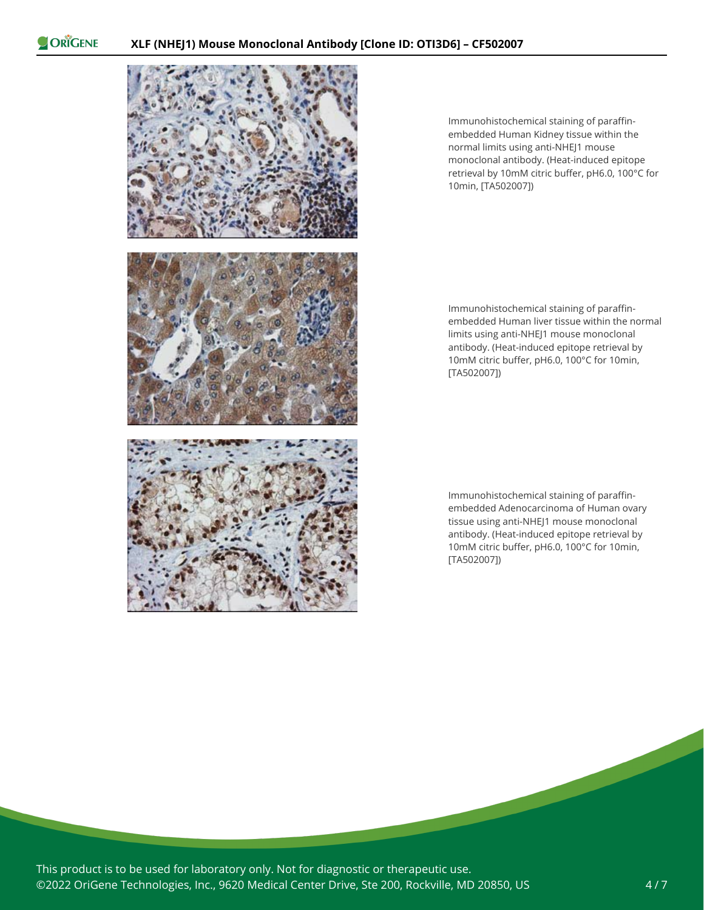

Immunohistochemical staining of paraffinembedded Human Kidney tissue within the normal limits using anti-NHEJ1 mouse monoclonal antibody. (Heat-induced epitope retrieval by 10mM citric buffer, pH6.0, 100°C for 10min, [TA502007])

Immunohistochemical staining of paraffinembedded Human liver tissue within the normal limits using anti-NHEJ1 mouse monoclonal antibody. (Heat-induced epitope retrieval by 10mM citric buffer, pH6.0, 100°C for 10min, [TA502007])

Immunohistochemical staining of paraffinembedded Adenocarcinoma of Human ovary tissue using anti-NHEJ1 mouse monoclonal antibody. (Heat-induced epitope retrieval by 10mM citric buffer, pH6.0, 100°C for 10min, [TA502007])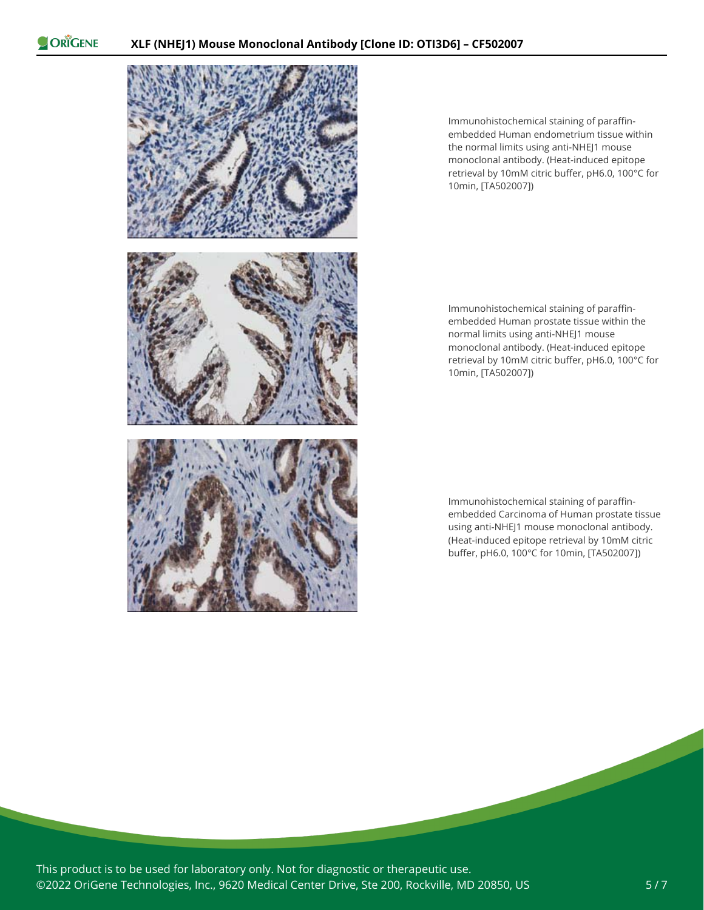

Immunohistochemical staining of paraffinembedded Human endometrium tissue within the normal limits using anti-NHEJ1 mouse monoclonal antibody. (Heat-induced epitope retrieval by 10mM citric buffer, pH6.0, 100°C for 10min, [TA502007])

Immunohistochemical staining of paraffinembedded Human prostate tissue within the normal limits using anti-NHEJ1 mouse monoclonal antibody. (Heat-induced epitope retrieval by 10mM citric buffer, pH6.0, 100°C for 10min, [TA502007])

Immunohistochemical staining of paraffinembedded Carcinoma of Human prostate tissue using anti-NHEJ1 mouse monoclonal antibody. (Heat-induced epitope retrieval by 10mM citric buffer, pH6.0, 100°C for 10min, [TA502007])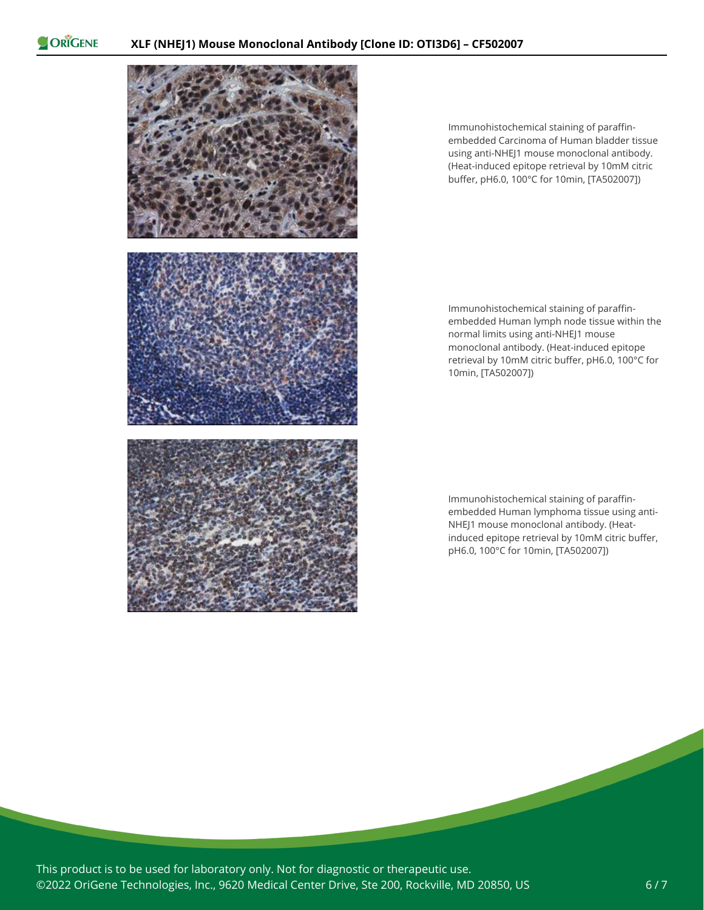

Immunohistochemical staining of paraffinembedded Carcinoma of Human bladder tissue using anti-NHEJ1 mouse monoclonal antibody. (Heat-induced epitope retrieval by 10mM citric buffer, pH6.0, 100°C for 10min, [TA502007])

Immunohistochemical staining of paraffinembedded Human lymph node tissue within the normal limits using anti-NHEJ1 mouse monoclonal antibody. (Heat-induced epitope retrieval by 10mM citric buffer, pH6.0, 100°C for 10min, [TA502007])

Immunohistochemical staining of paraffinembedded Human lymphoma tissue using anti-NHEJ1 mouse monoclonal antibody. (Heatinduced epitope retrieval by 10mM citric buffer, pH6.0, 100°C for 10min, [TA502007])